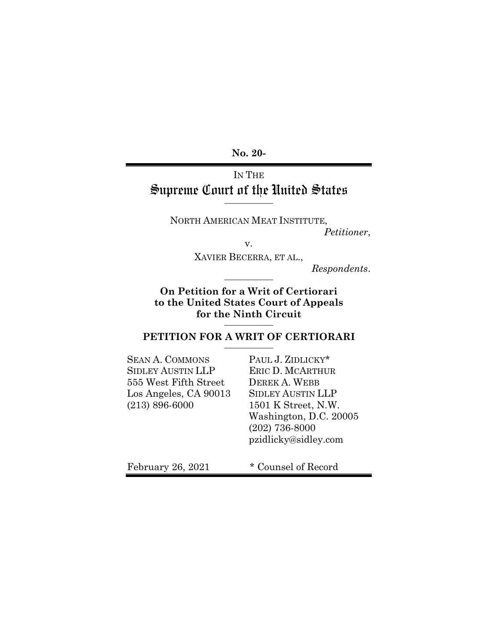**No. 20-** 

# IN THE Supreme Court of the United States **\_\_\_\_\_\_\_\_\_\_\_\_**

NORTH AMERICAN MEAT INSTITUTE, *Petitioner*,

v.

XAVIER BECERRA, ET AL.,

 $Response$ *Respondents.* 

**On Petition for a Writ of Certiorari to the United States Court of Appeals for the Ninth Circuit \_\_\_\_\_\_\_\_\_\_\_\_** 

## PETITION FOR A WRIT OF CERTIORARI

SEAN A. COMMONS PAUL J. ZIDLICKY\* SIDLEY AUSTIN LLP ERIC D. MCARTHUR 555 West Fifth Street DEREK A. WEBB Los Angeles, CA 90013 SIDLEY AUSTIN LLP (213) 896-6000 1501 K Street, N.W.

 Washington, D.C. 20005 (202) 736-8000 pzidlicky@sidley.com

February 26, 2021  $*$  Counsel of Record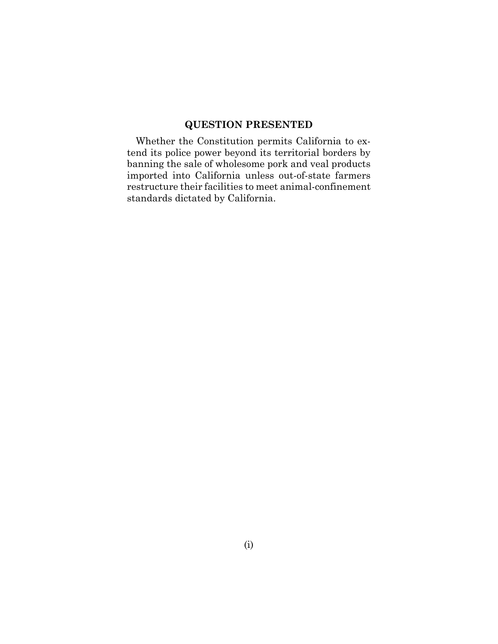## **QUESTION PRESENTED**

Whether the Constitution permits California to extend its police power beyond its territorial borders by banning the sale of wholesome pork and veal products imported into California unless out-of-state farmers restructure their facilities to meet animal-confinement standards dictated by California.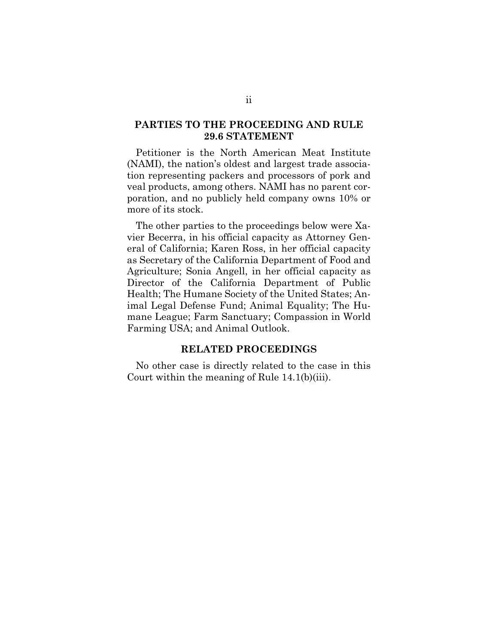## **PARTIES TO THE PROCEEDING AND RULE 29.6 STATEMENT**

Petitioner is the North American Meat Institute (NAMI), the nation's oldest and largest trade association representing packers and processors of pork and veal products, among others. NAMI has no parent corporation, and no publicly held company owns 10% or more of its stock.

The other parties to the proceedings below were Xavier Becerra, in his official capacity as Attorney General of California; Karen Ross, in her official capacity as Secretary of the California Department of Food and Agriculture; Sonia Angell, in her official capacity as Director of the California Department of Public Health; The Humane Society of the United States; Animal Legal Defense Fund; Animal Equality; The Humane League; Farm Sanctuary; Compassion in World Farming USA; and Animal Outlook.

## **RELATED PROCEEDINGS**

No other case is directly related to the case in this Court within the meaning of Rule 14.1(b)(iii).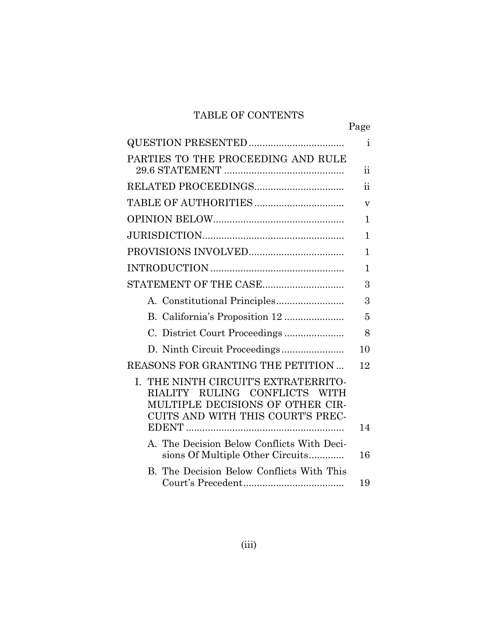# TABLE OF CONTENTS

|                                                                                                                                                                                 | Page            |
|---------------------------------------------------------------------------------------------------------------------------------------------------------------------------------|-----------------|
|                                                                                                                                                                                 | i               |
| PARTIES TO THE PROCEEDING AND RULE                                                                                                                                              |                 |
|                                                                                                                                                                                 | $\ddot{\rm ii}$ |
| RELATED PROCEEDINGS                                                                                                                                                             | $\ddot{\rm n}$  |
|                                                                                                                                                                                 | v               |
|                                                                                                                                                                                 | 1               |
|                                                                                                                                                                                 | 1               |
|                                                                                                                                                                                 | 1               |
|                                                                                                                                                                                 | 1               |
| STATEMENT OF THE CASE                                                                                                                                                           | 3               |
|                                                                                                                                                                                 | 3               |
|                                                                                                                                                                                 | 5               |
|                                                                                                                                                                                 | 8               |
|                                                                                                                                                                                 | 10              |
| REASONS FOR GRANTING THE PETITION                                                                                                                                               | 12              |
| THE NINTH CIRCUIT'S EXTRATERRITO-<br>L.<br><b>RULING</b><br><b>CONFLICTS</b><br><b>RIALITY</b><br>WITH<br>MULTIPLE DECISIONS OF OTHER CIR-<br>CUITS AND WITH THIS COURT'S PREC- |                 |
|                                                                                                                                                                                 | 14              |
| A. The Decision Below Conflicts With Deci-<br>sions Of Multiple Other Circuits                                                                                                  | 16              |
| B. The Decision Below Conflicts With This                                                                                                                                       | 19              |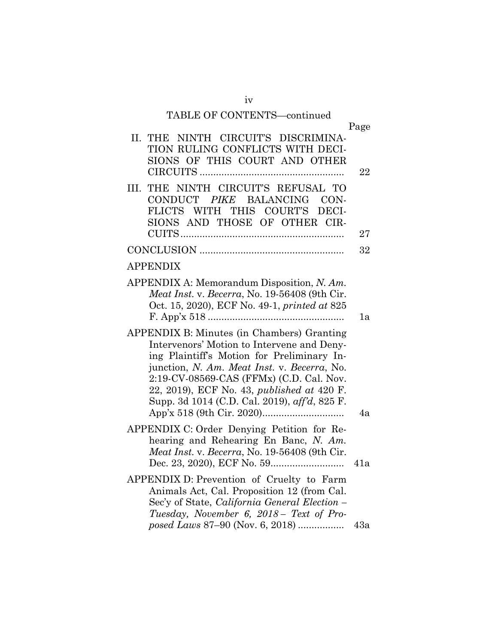# iv TABLE OF CONTENTS—continued

|                                                                                                                                                                                                                                                                                                                                  | Page       |
|----------------------------------------------------------------------------------------------------------------------------------------------------------------------------------------------------------------------------------------------------------------------------------------------------------------------------------|------------|
| NINTH CIRCUIT'S DISCRIMINA-<br>II.<br><b>THE</b><br>TION RULING CONFLICTS WITH DECI-<br>SIONS OF THIS COURT AND OTHER                                                                                                                                                                                                            | 22         |
| THE NINTH CIRCUIT'S REFUSAL TO<br>III.<br>CONDUCT PIKE BALANCING<br>CON-<br>FLICTS WITH THIS COURT'S<br>DECI-<br>SIONS AND THOSE OF OTHER CIR-                                                                                                                                                                                   |            |
|                                                                                                                                                                                                                                                                                                                                  | 27         |
|                                                                                                                                                                                                                                                                                                                                  | 32         |
| <b>APPENDIX</b>                                                                                                                                                                                                                                                                                                                  |            |
| APPENDIX A: Memorandum Disposition, N. Am.<br>Meat Inst. v. Becerra, No. 19-56408 (9th Cir.<br>Oct. 15, 2020), ECF No. 49-1, printed at 825                                                                                                                                                                                      | 1a         |
| APPENDIX B: Minutes (in Chambers) Granting<br>Intervenors' Motion to Intervene and Deny-<br>ing Plaintiff's Motion for Preliminary In-<br>junction, N. Am. Meat Inst. v. Becerra, No.<br>2:19-CV-08569-CAS (FFMx) (C.D. Cal. Nov.<br>22, 2019), ECF No. 43, published at 420 F.<br>Supp. 3d 1014 (C.D. Cal. 2019), aff'd, 825 F. | 4a         |
| APPENDIX C: Order Denying Petition for Re-<br>hearing and Rehearing En Banc, N. Am.<br>Meat Inst. v. Becerra, No. 19-56408 (9th Cir.                                                                                                                                                                                             |            |
| APPENDIX D: Prevention of Cruelty to Farm<br>Animals Act, Cal. Proposition 12 (from Cal.<br>Sec'y of State, California General Election –<br>Tuesday, November 6, 2018 - Text of Pro-<br>posed Laws 87-90 (Nov. 6, 2018)                                                                                                         | 41a<br>43a |
|                                                                                                                                                                                                                                                                                                                                  |            |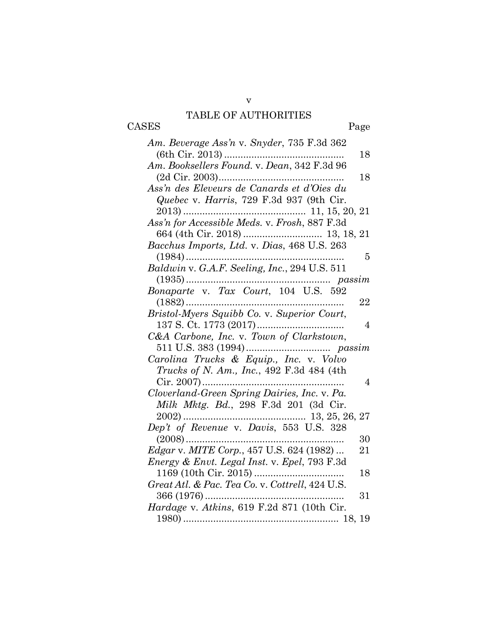## v TABLE OF AUTHORITIES

CASES Page

| Am. Beverage Ass'n v. Snyder, 735 F.3d 362              |  |
|---------------------------------------------------------|--|
| 18                                                      |  |
| Am. Booksellers Found. v. Dean, 342 F.3d 96             |  |
| 18                                                      |  |
| Ass'n des Eleveurs de Canards et d'Oies du              |  |
| Quebec v. Harris, 729 F.3d 937 (9th Cir.                |  |
|                                                         |  |
| Ass'n for Accessible Meds. v. Frosh, 887 F.3d           |  |
|                                                         |  |
| Bacchus Imports, Ltd. v. Dias, 468 U.S. 263             |  |
| 5                                                       |  |
| Baldwin v. G.A.F. Seeling, Inc., 294 U.S. 511           |  |
| $\ldots$ passim                                         |  |
|                                                         |  |
| 22                                                      |  |
| Bristol-Myers Squibb Co. v. Superior Court,             |  |
| $\overline{4}$                                          |  |
| C&A Carbone, Inc. v. Town of Clarkstown,                |  |
|                                                         |  |
| Carolina Trucks & Equip., Inc. v. Volvo                 |  |
| Trucks of N. Am., Inc., 492 F.3d 484 (4th               |  |
| 4                                                       |  |
| Cloverland-Green Spring Dairies, Inc. v. Pa.            |  |
| Milk Mktg. Bd., 298 F.3d 201 (3d Cir.                   |  |
|                                                         |  |
|                                                         |  |
| 30                                                      |  |
| <i>Edgar v. MITE Corp.</i> , 457 U.S. 624 (1982)<br>21  |  |
| <i>Energy &amp; Envt. Legal Inst. v. Epel, 793 F.3d</i> |  |
| 18                                                      |  |
| Great Atl. & Pac. Tea Co. v. Cottrell, 424 U.S.         |  |
| 31                                                      |  |
| Hardage v. Atkins, 619 F.2d 871 (10th Cir.              |  |
|                                                         |  |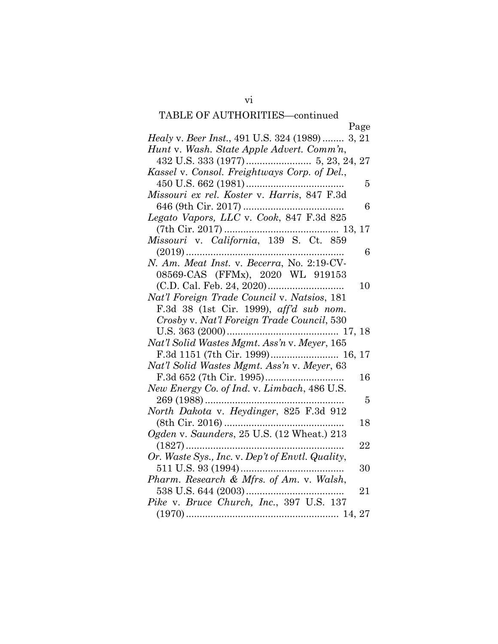# TABLE OF AUTHORITIES—continued

| Page                                                                            |
|---------------------------------------------------------------------------------|
| Healy v. Beer Inst., 491 U.S. 324 (1989) 3, 21                                  |
| Hunt v. Wash. State Apple Advert. Comm'n,                                       |
|                                                                                 |
| Kassel v. Consol. Freightways Corp. of Del.,                                    |
| 5                                                                               |
| Missouri ex rel. Koster v. Harris, 847 F.3d                                     |
| 6                                                                               |
| Legato Vapors, LLC v. Cook, 847 F.3d 825                                        |
|                                                                                 |
| $(7th Cir. 2017) \dots 13, 17$ $Missouri \ v. \ California, 139 \ S. \ Ct. 859$ |
| 6                                                                               |
| N. Am. Meat Inst. v. Becerra, No. 2:19-CV-                                      |
| 08569-CAS (FFMx), 2020 WL 919153                                                |
| 10                                                                              |
| Nat'l Foreign Trade Council v. Natsios, 181                                     |
| F.3d 38 (1st Cir. 1999), aff'd sub nom.                                         |
| Crosby v. Nat'l Foreign Trade Council, 530                                      |
|                                                                                 |
| Nat'l Solid Wastes Mgmt. Ass'n v. Meyer, 165                                    |
| F.3d 1151 (7th Cir. 1999) 16, 17                                                |
| Nat'l Solid Wastes Mgmt. Ass'n v. Meyer, 63                                     |
| 16                                                                              |
| New Energy Co. of Ind. v. Limbach, 486 U.S.                                     |
| 5                                                                               |
| North Dakota v. Heydinger, 825 F.3d 912                                         |
| 18                                                                              |
| Ogden v. Saunders, 25 U.S. (12 Wheat.) 213                                      |
| $(1827)$<br>22                                                                  |
| Or. Waste Sys., Inc. v. Dep't of Envtl. Quality,                                |
| 30                                                                              |
| Pharm. Research & Mfrs. of Am. v. Walsh,                                        |
| 21                                                                              |
| Pike v. Bruce Church, Inc., 397 U.S. 137                                        |
|                                                                                 |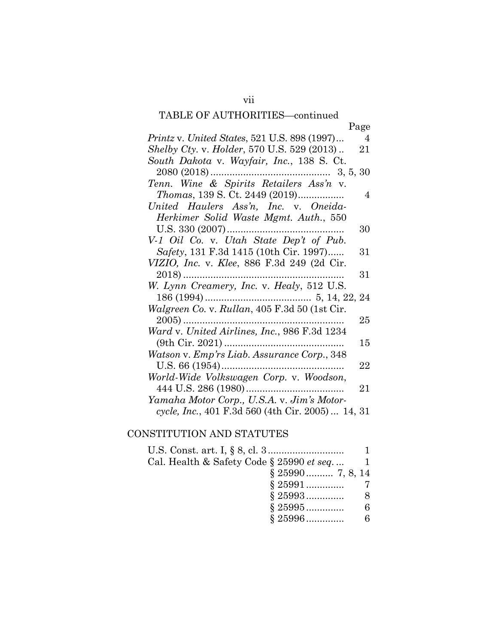# TABLE OF AUTHORITIES—continued

| <b>TADLE OF AUTHUNITIES—continued</b>                          |
|----------------------------------------------------------------|
| Page                                                           |
| Printz v. United States, 521 U.S. 898 (1997)<br>$\overline{4}$ |
| <i>Shelby Cty. v. Holder, 570 U.S. 529 (2013)</i><br>21        |
| South Dakota v. Wayfair, Inc., 138 S. Ct.                      |
|                                                                |
| Tenn. Wine & Spirits Retailers Ass'n v.                        |
| <i>Thomas</i> , 139 S. Ct. 2449 (2019)<br>4                    |
| United Haulers Ass'n, Inc. v. Oneida-                          |
| Herkimer Solid Waste Mgmt. Auth., 550                          |
| 30                                                             |
| V-1 Oil Co. v. Utah State Dep't of Pub.                        |
| Safety, 131 F.3d 1415 (10th Cir. 1997)<br>31                   |
| VIZIO, Inc. v. Klee, 886 F.3d 249 (2d Cir.                     |
| 31                                                             |
| W. Lynn Creamery, Inc. v. Healy, 512 U.S.                      |
|                                                                |
| Walgreen Co. v. Rullan, 405 F.3d 50 (1st Cir.                  |
| 25                                                             |
| Ward v. United Airlines, Inc., 986 F.3d 1234                   |
| 15                                                             |
| Watson v. Emp'rs Liab. Assurance Corp., 348                    |
| 22                                                             |
| World-Wide Volkswagen Corp. v. Woodson,                        |
| 21                                                             |
| Yamaha Motor Corp., U.S.A. v. Jim's Motor-                     |
| cycle, Inc., 401 F.3d 560 (4th Cir. 2005)  14, 31              |

# CONSTITUTION AND STATUTES

| Cal. Health & Safety Code § 25990 <i>et seq</i> |   |
|-------------------------------------------------|---|
| $\S 25990$ 7, 8, 14                             |   |
|                                                 |   |
|                                                 | 8 |
| $$25995$                                        |   |
| $$25996$                                        |   |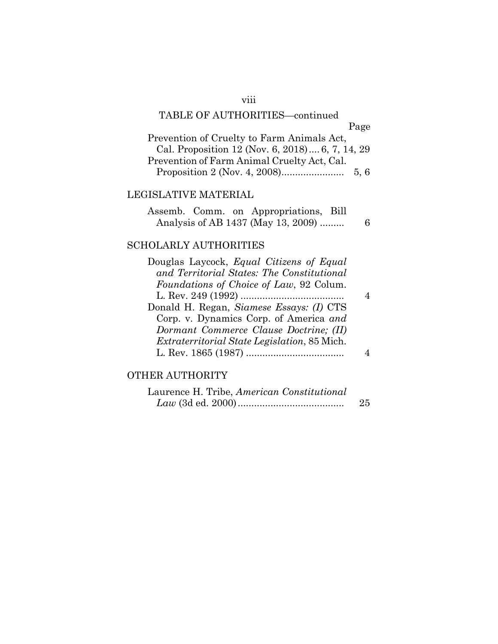## viii

# TABLE OF AUTHORITIES—continued

|                                                 | Page |
|-------------------------------------------------|------|
| Prevention of Cruelty to Farm Animals Act,      |      |
| Cal. Proposition 12 (Nov. 6, 2018) 6, 7, 14, 29 |      |
| Prevention of Farm Animal Cruelty Act, Cal.     |      |
|                                                 | 5.6  |

## LEGISLATIVE MATERIAL

|  | Assemb. Comm. on Appropriations, Bill |    |
|--|---------------------------------------|----|
|  | Analysis of AB 1437 (May 13, 2009)    | -6 |

## SCHOLARLY AUTHORITIES

| Douglas Laycock, Equal Citizens of Equal            |  |
|-----------------------------------------------------|--|
| and Territorial States: The Constitutional          |  |
| Foundations of Choice of Law, 92 Colum.             |  |
|                                                     |  |
| Donald H. Regan, Siamese Essays: (I) CTS            |  |
| Corp. v. Dynamics Corp. of America and              |  |
| Dormant Commerce Clause Doctrine; (II)              |  |
| <i>Extraterritorial State Legislation, 85 Mich.</i> |  |
|                                                     |  |
|                                                     |  |

## OTHER AUTHORITY

| Laurence H. Tribe, American Constitutional |     |
|--------------------------------------------|-----|
|                                            | -25 |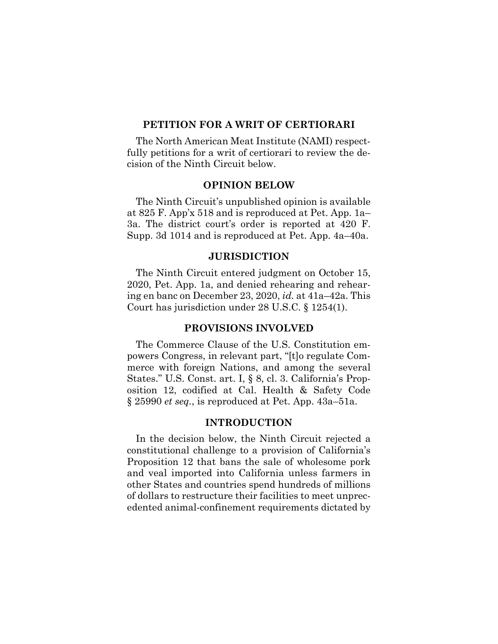#### **PETITION FOR A WRIT OF CERTIORARI**

The North American Meat Institute (NAMI) respectfully petitions for a writ of certiorari to review the decision of the Ninth Circuit below.

#### **OPINION BELOW**

The Ninth Circuit's unpublished opinion is available at 825 F. App'x 518 and is reproduced at Pet. App. 1a– 3a. The district court's order is reported at 420 F. Supp. 3d 1014 and is reproduced at Pet. App. 4a–40a.

#### **JURISDICTION**

The Ninth Circuit entered judgment on October 15, 2020, Pet. App. 1a, and denied rehearing and rehearing en banc on December 23, 2020, *id.* at 41a–42a. This Court has jurisdiction under 28 U.S.C. § 1254(1).

#### **PROVISIONS INVOLVED**

The Commerce Clause of the U.S. Constitution empowers Congress, in relevant part, "[t]o regulate Commerce with foreign Nations, and among the several States." U.S. Const. art. I, § 8, cl. 3. California's Proposition 12, codified at Cal. Health & Safety Code § 25990 *et seq.*, is reproduced at Pet. App. 43a–51a.

### **INTRODUCTION**

In the decision below, the Ninth Circuit rejected a constitutional challenge to a provision of California's Proposition 12 that bans the sale of wholesome pork and veal imported into California unless farmers in other States and countries spend hundreds of millions of dollars to restructure their facilities to meet unprecedented animal-confinement requirements dictated by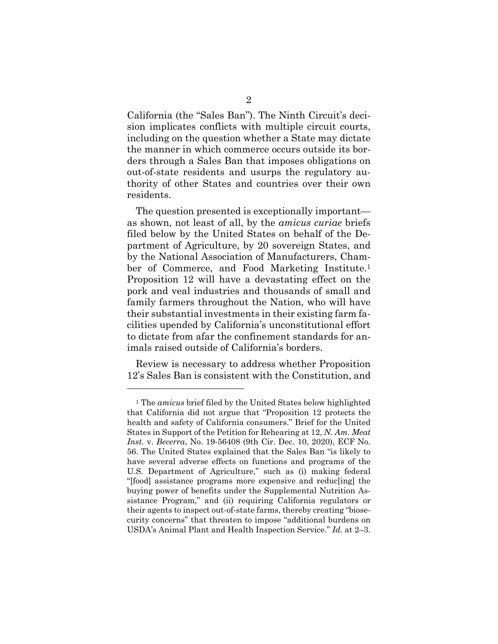California (the "Sales Ban"). The Ninth Circuit's decision implicates conflicts with multiple circuit courts, including on the question whether a State may dictate the manner in which commerce occurs outside its borders through a Sales Ban that imposes obligations on out-of-state residents and usurps the regulatory authority of other States and countries over their own residents.

The question presented is exceptionally important as shown, not least of all, by the *amicus curiae* briefs filed below by the United States on behalf of the Department of Agriculture, by 20 sovereign States, and by the National Association of Manufacturers, Chamber of Commerce, and Food Marketing Institute.1 Proposition 12 will have a devastating effect on the pork and veal industries and thousands of small and family farmers throughout the Nation, who will have their substantial investments in their existing farm facilities upended by California's unconstitutional effort to dictate from afar the confinement standards for animals raised outside of California's borders.

Review is necessary to address whether Proposition 12's Sales Ban is consistent with the Constitution, and

<sup>1</sup> The *amicus* brief filed by the United States below highlighted that California did not argue that "Proposition 12 protects the health and safety of California consumers." Brief for the United States in Support of the Petition for Rehearing at 12, *N. Am. Meat Inst.* v. *Becerra*, No. 19-56408 (9th Cir. Dec. 10, 2020), ECF No. 56. The United States explained that the Sales Ban "is likely to have several adverse effects on functions and programs of the U.S. Department of Agriculture," such as (i) making federal "[food] assistance programs more expensive and reduc[ing] the buying power of benefits under the Supplemental Nutrition Assistance Program," and (ii) requiring California regulators or their agents to inspect out-of-state farms, thereby creating "biosecurity concerns" that threaten to impose "additional burdens on USDA's Animal Plant and Health Inspection Service." *Id.* at 2–3.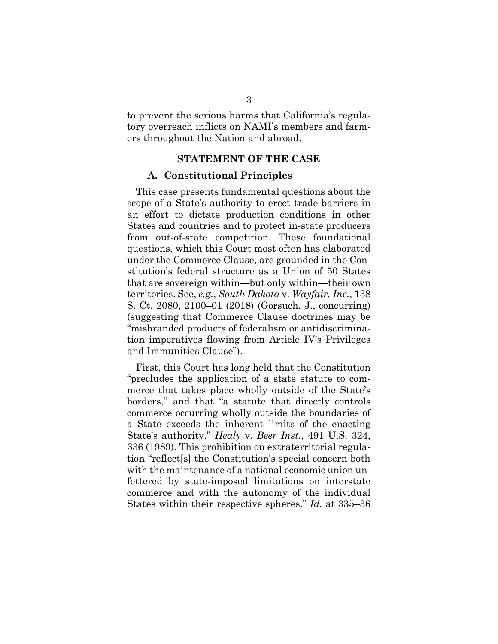to prevent the serious harms that California's regulatory overreach inflicts on NAMI's members and farmers throughout the Nation and abroad.

#### **STATEMENT OF THE CASE**

#### **A. Constitutional Principles**

This case presents fundamental questions about the scope of a State's authority to erect trade barriers in an effort to dictate production conditions in other States and countries and to protect in-state producers from out-of-state competition. These foundational questions, which this Court most often has elaborated under the Commerce Clause, are grounded in the Constitution's federal structure as a Union of 50 States that are sovereign within—but only within—their own territories. See, *e.g.*, *South Dakota* v. *Wayfair, Inc.*, 138 S. Ct. 2080, 2100–01 (2018) (Gorsuch, J., concurring) (suggesting that Commerce Clause doctrines may be "misbranded products of federalism or antidiscrimination imperatives flowing from Article IV's Privileges and Immunities Clause").

First, this Court has long held that the Constitution "precludes the application of a state statute to commerce that takes place wholly outside of the State's borders," and that "a statute that directly controls commerce occurring wholly outside the boundaries of a State exceeds the inherent limits of the enacting State's authority." *Healy* v. *Beer Inst.*, 491 U.S. 324, 336 (1989). This prohibition on extraterritorial regulation "reflect[s] the Constitution's special concern both with the maintenance of a national economic union unfettered by state-imposed limitations on interstate commerce and with the autonomy of the individual States within their respective spheres." *Id.* at 335–36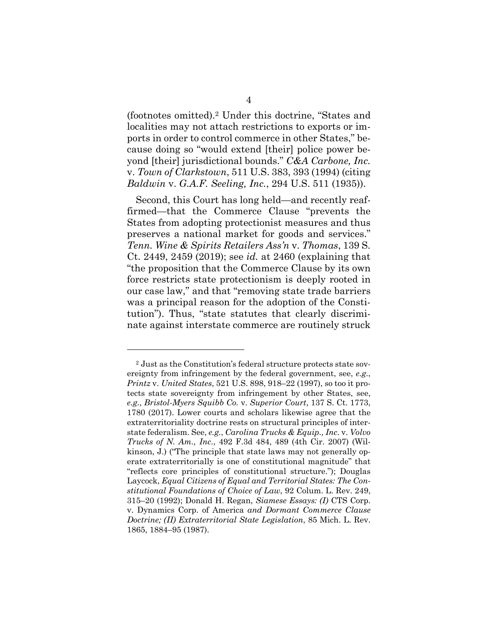(footnotes omitted).2 Under this doctrine, "States and localities may not attach restrictions to exports or imports in order to control commerce in other States," because doing so "would extend [their] police power beyond [their] jurisdictional bounds." *C&A Carbone, Inc.*  v. *Town of Clarkstown*, 511 U.S. 383, 393 (1994) (citing *Baldwin* v. *G.A.F. Seeling, Inc.*, 294 U.S. 511 (1935)).

Second, this Court has long held—and recently reaffirmed—that the Commerce Clause "prevents the States from adopting protectionist measures and thus preserves a national market for goods and services." *Tenn. Wine & Spirits Retailers Ass'n* v. *Thomas*, 139 S. Ct. 2449, 2459 (2019); see *id.* at 2460 (explaining that "the proposition that the Commerce Clause by its own force restricts state protectionism is deeply rooted in our case law," and that "removing state trade barriers was a principal reason for the adoption of the Constitution"). Thus, "state statutes that clearly discriminate against interstate commerce are routinely struck

<sup>2</sup> Just as the Constitution's federal structure protects state sovereignty from infringement by the federal government, see, *e.g.*, *Printz* v. *United States*, 521 U.S. 898, 918–22 (1997), so too it protects state sovereignty from infringement by other States, see, *e.g.*, *Bristol-Myers Squibb Co.* v. *Superior Court*, 137 S. Ct. 1773, 1780 (2017). Lower courts and scholars likewise agree that the extraterritoriality doctrine rests on structural principles of interstate federalism. See, *e.g.*, *Carolina Trucks & Equip., Inc.* v. *Volvo Trucks of N. Am., Inc.*, 492 F.3d 484, 489 (4th Cir. 2007) (Wilkinson, J.) ("The principle that state laws may not generally operate extraterritorially is one of constitutional magnitude" that "reflects core principles of constitutional structure."); Douglas Laycock, *Equal Citizens of Equal and Territorial States: The Constitutional Foundations of Choice of Law*, 92 Colum. L. Rev. 249, 315–20 (1992); Donald H. Regan, *Siamese Essays: (I)* CTS Corp. v. Dynamics Corp. of America *and Dormant Commerce Clause Doctrine; (II) Extraterritorial State Legislation*, 85 Mich. L. Rev. 1865, 1884–95 (1987).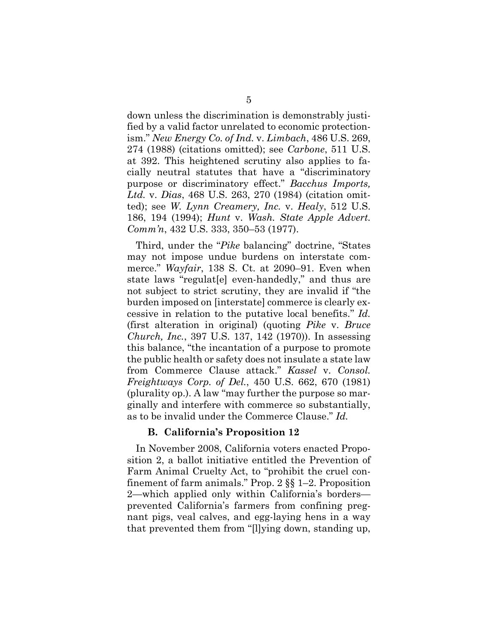down unless the discrimination is demonstrably justified by a valid factor unrelated to economic protectionism." *New Energy Co. of Ind.* v. *Limbach*, 486 U.S. 269, 274 (1988) (citations omitted); see *Carbone*, 511 U.S. at 392. This heightened scrutiny also applies to facially neutral statutes that have a "discriminatory purpose or discriminatory effect." *Bacchus Imports, Ltd.* v. *Dias*, 468 U.S. 263, 270 (1984) (citation omitted); see *W. Lynn Creamery, Inc.* v. *Healy*, 512 U.S. 186, 194 (1994); *Hunt* v. *Wash. State Apple Advert. Comm'n*, 432 U.S. 333, 350–53 (1977).

Third, under the "*Pike* balancing" doctrine, "States may not impose undue burdens on interstate commerce." *Wayfair*, 138 S. Ct. at 2090–91. Even when state laws "regulat[e] even-handedly," and thus are not subject to strict scrutiny, they are invalid if "the burden imposed on [interstate] commerce is clearly excessive in relation to the putative local benefits.'' *Id.*  (first alteration in original) (quoting *Pike* v. *Bruce Church, Inc.*, 397 U.S. 137, 142 (1970)). In assessing this balance, "the incantation of a purpose to promote the public health or safety does not insulate a state law from Commerce Clause attack." *Kassel* v. *Consol. Freightways Corp. of Del.*, 450 U.S. 662, 670 (1981) (plurality op.). A law "may further the purpose so marginally and interfere with commerce so substantially, as to be invalid under the Commerce Clause." *Id.*

#### **B. California's Proposition 12**

In November 2008, California voters enacted Proposition 2, a ballot initiative entitled the Prevention of Farm Animal Cruelty Act, to "prohibit the cruel confinement of farm animals." Prop. 2 §§ 1–2. Proposition 2—which applied only within California's borders prevented California's farmers from confining pregnant pigs, veal calves, and egg-laying hens in a way that prevented them from "[l]ying down, standing up,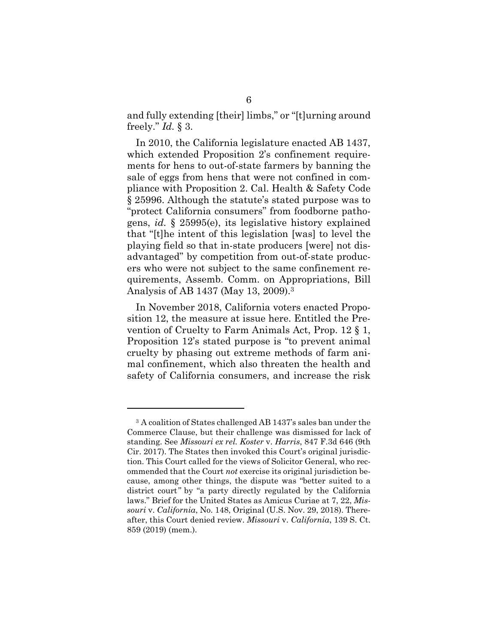and fully extending [their] limbs," or "[t]urning around freely." *Id.* § 3.

In 2010, the California legislature enacted AB 1437, which extended Proposition 2's confinement requirements for hens to out-of-state farmers by banning the sale of eggs from hens that were not confined in compliance with Proposition 2. Cal. Health & Safety Code § 25996. Although the statute's stated purpose was to "protect California consumers" from foodborne pathogens, *id.* § 25995(e), its legislative history explained that "[t]he intent of this legislation [was] to level the playing field so that in-state producers [were] not disadvantaged" by competition from out-of-state producers who were not subject to the same confinement requirements, Assemb. Comm. on Appropriations, Bill Analysis of AB 1437 (May 13, 2009).3

In November 2018, California voters enacted Proposition 12, the measure at issue here. Entitled the Prevention of Cruelty to Farm Animals Act, Prop. 12 § 1, Proposition 12's stated purpose is "to prevent animal cruelty by phasing out extreme methods of farm animal confinement, which also threaten the health and safety of California consumers, and increase the risk

<sup>3</sup> A coalition of States challenged AB 1437's sales ban under the Commerce Clause, but their challenge was dismissed for lack of standing. See *Missouri ex rel. Koster* v. *Harris*, 847 F.3d 646 (9th Cir. 2017). The States then invoked this Court's original jurisdiction. This Court called for the views of Solicitor General, who recommended that the Court *not* exercise its original jurisdiction because, among other things, the dispute was "better suited to a district court*"* by "a party directly regulated by the California laws." Brief for the United States as Amicus Curiae at 7, 22, *Missouri* v. *California*, No. 148, Original (U.S. Nov. 29, 2018). Thereafter, this Court denied review. *Missouri* v. *California*, 139 S. Ct. 859 (2019) (mem.).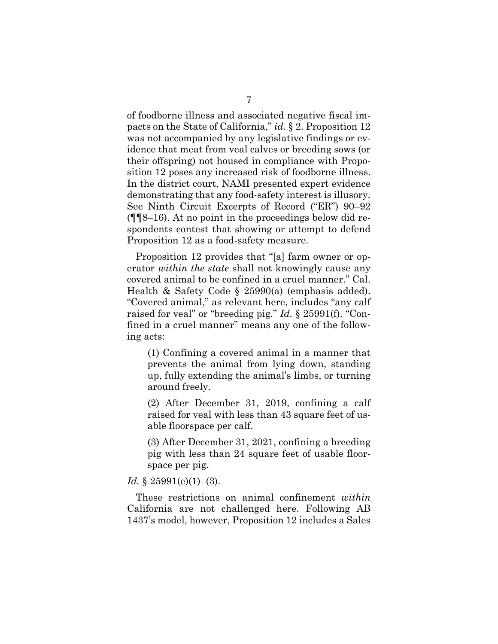of foodborne illness and associated negative fiscal impacts on the State of California," *id.* § 2. Proposition 12 was not accompanied by any legislative findings or evidence that meat from veal calves or breeding sows (or their offspring) not housed in compliance with Proposition 12 poses any increased risk of foodborne illness. In the district court, NAMI presented expert evidence demonstrating that any food-safety interest is illusory. See Ninth Circuit Excerpts of Record ("ER") 90–92 (¶¶8–16). At no point in the proceedings below did respondents contest that showing or attempt to defend Proposition 12 as a food-safety measure.

Proposition 12 provides that "[a] farm owner or operator *within the state* shall not knowingly cause any covered animal to be confined in a cruel manner." Cal. Health & Safety Code § 25990(a) (emphasis added). "Covered animal," as relevant here, includes "any calf raised for veal" or "breeding pig." *Id.* § 25991(f). "Confined in a cruel manner" means any one of the following acts:

(1) Confining a covered animal in a manner that prevents the animal from lying down, standing up, fully extending the animal's limbs, or turning around freely.

(2) After December 31, 2019, confining a calf raised for veal with less than 43 square feet of usable floorspace per calf.

(3) After December 31, 2021, confining a breeding pig with less than 24 square feet of usable floorspace per pig.

#### *Id.* § 25991(e)(1)–(3).

These restrictions on animal confinement *within*  California are not challenged here. Following AB 1437's model, however, Proposition 12 includes a Sales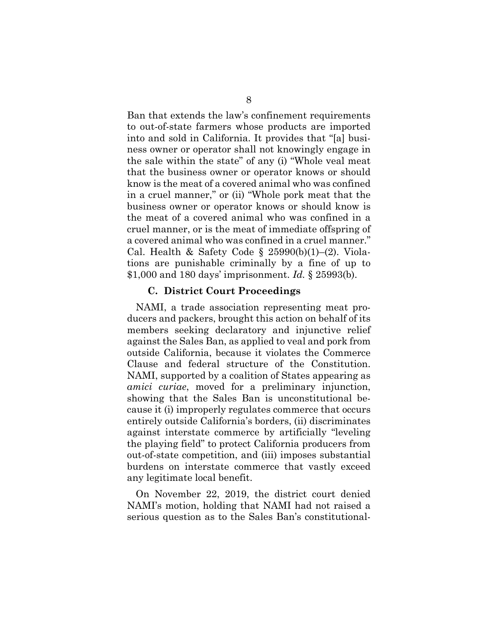Ban that extends the law's confinement requirements to out-of-state farmers whose products are imported into and sold in California. It provides that "[a] business owner or operator shall not knowingly engage in the sale within the state" of any (i) "Whole veal meat that the business owner or operator knows or should know is the meat of a covered animal who was confined in a cruel manner," or (ii) "Whole pork meat that the business owner or operator knows or should know is the meat of a covered animal who was confined in a cruel manner, or is the meat of immediate offspring of a covered animal who was confined in a cruel manner." Cal. Health & Safety Code § 25990(b)(1)–(2). Violations are punishable criminally by a fine of up to \$1,000 and 180 days' imprisonment. *Id.* § 25993(b).

#### **C. District Court Proceedings**

NAMI, a trade association representing meat producers and packers, brought this action on behalf of its members seeking declaratory and injunctive relief against the Sales Ban, as applied to veal and pork from outside California, because it violates the Commerce Clause and federal structure of the Constitution. NAMI, supported by a coalition of States appearing as *amici curiae*, moved for a preliminary injunction, showing that the Sales Ban is unconstitutional because it (i) improperly regulates commerce that occurs entirely outside California's borders, (ii) discriminates against interstate commerce by artificially "leveling the playing field" to protect California producers from out-of-state competition, and (iii) imposes substantial burdens on interstate commerce that vastly exceed any legitimate local benefit.

On November 22, 2019, the district court denied NAMI's motion, holding that NAMI had not raised a serious question as to the Sales Ban's constitutional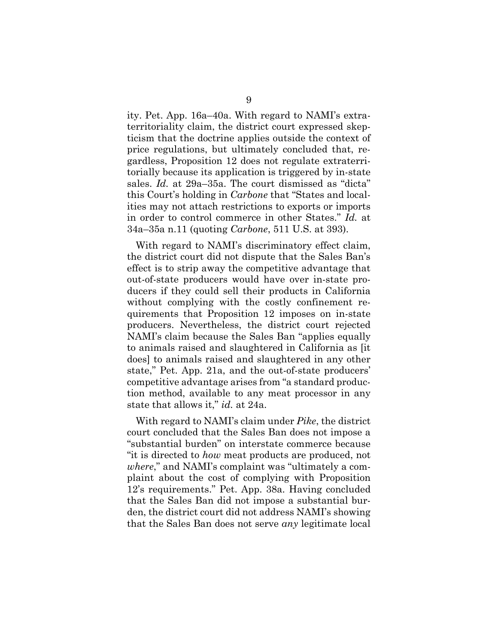ity. Pet. App. 16a–40a. With regard to NAMI's extraterritoriality claim, the district court expressed skepticism that the doctrine applies outside the context of price regulations, but ultimately concluded that, regardless, Proposition 12 does not regulate extraterritorially because its application is triggered by in-state sales. *Id.* at 29a–35a. The court dismissed as "dicta" this Court's holding in *Carbone* that "States and localities may not attach restrictions to exports or imports in order to control commerce in other States." *Id.* at 34a–35a n.11 (quoting *Carbone*, 511 U.S. at 393).

With regard to NAMI's discriminatory effect claim, the district court did not dispute that the Sales Ban's effect is to strip away the competitive advantage that out-of-state producers would have over in-state producers if they could sell their products in California without complying with the costly confinement requirements that Proposition 12 imposes on in-state producers. Nevertheless, the district court rejected NAMI's claim because the Sales Ban "applies equally to animals raised and slaughtered in California as [it does] to animals raised and slaughtered in any other state," Pet. App. 21a, and the out-of-state producers' competitive advantage arises from "a standard production method, available to any meat processor in any state that allows it," *id.* at 24a.

With regard to NAMI's claim under *Pike*, the district court concluded that the Sales Ban does not impose a "substantial burden" on interstate commerce because "it is directed to *how* meat products are produced, not *where*," and NAMI's complaint was "ultimately a complaint about the cost of complying with Proposition 12's requirements." Pet. App. 38a. Having concluded that the Sales Ban did not impose a substantial burden, the district court did not address NAMI's showing that the Sales Ban does not serve *any* legitimate local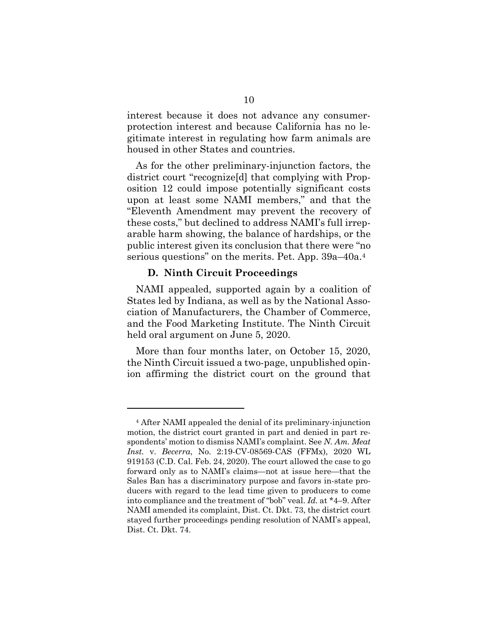interest because it does not advance any consumerprotection interest and because California has no legitimate interest in regulating how farm animals are housed in other States and countries.

As for the other preliminary-injunction factors, the district court "recognize[d] that complying with Proposition 12 could impose potentially significant costs upon at least some NAMI members," and that the "Eleventh Amendment may prevent the recovery of these costs," but declined to address NAMI's full irreparable harm showing, the balance of hardships, or the public interest given its conclusion that there were "no serious questions" on the merits. Pet. App. 39a–40a.4

#### **D. Ninth Circuit Proceedings**

NAMI appealed, supported again by a coalition of States led by Indiana, as well as by the National Association of Manufacturers, the Chamber of Commerce, and the Food Marketing Institute. The Ninth Circuit held oral argument on June 5, 2020.

More than four months later, on October 15, 2020, the Ninth Circuit issued a two-page, unpublished opinion affirming the district court on the ground that

<sup>4</sup> After NAMI appealed the denial of its preliminary-injunction motion, the district court granted in part and denied in part respondents' motion to dismiss NAMI's complaint. See *N. Am. Meat Inst.* v. *Becerra*, No. 2:19-CV-08569-CAS (FFMx), 2020 WL 919153 (C.D. Cal. Feb. 24, 2020). The court allowed the case to go forward only as to NAMI's claims—not at issue here—that the Sales Ban has a discriminatory purpose and favors in-state producers with regard to the lead time given to producers to come into compliance and the treatment of "bob" veal. *Id.* at \*4–9. After NAMI amended its complaint, Dist. Ct. Dkt. 73, the district court stayed further proceedings pending resolution of NAMI's appeal, Dist. Ct. Dkt. 74.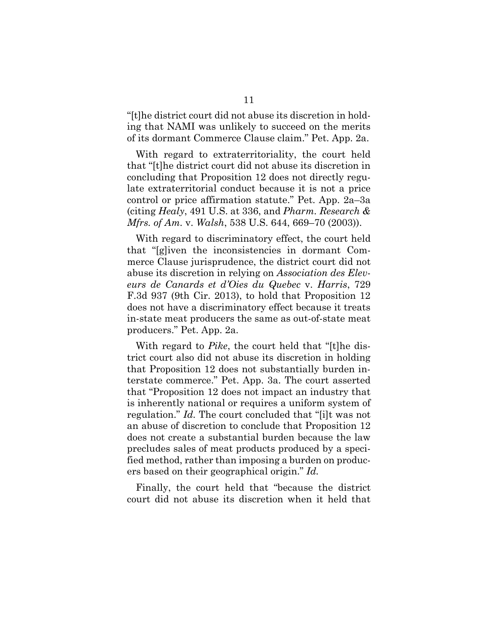"[t]he district court did not abuse its discretion in holding that NAMI was unlikely to succeed on the merits of its dormant Commerce Clause claim." Pet. App. 2a.

With regard to extraterritoriality, the court held that "[t]he district court did not abuse its discretion in concluding that Proposition 12 does not directly regulate extraterritorial conduct because it is not a price control or price affirmation statute." Pet. App. 2a–3a (citing *Healy*, 491 U.S. at 336, and *Pharm. Research & Mfrs. of Am.* v. *Walsh*, 538 U.S. 644, 669–70 (2003)).

With regard to discriminatory effect, the court held that "[g]iven the inconsistencies in dormant Commerce Clause jurisprudence, the district court did not abuse its discretion in relying on *Association des Eleveurs de Canards et d'Oies du Quebec* v. *Harris*, 729 F.3d 937 (9th Cir. 2013), to hold that Proposition 12 does not have a discriminatory effect because it treats in-state meat producers the same as out-of-state meat producers." Pet. App. 2a.

With regard to *Pike*, the court held that "[t]he district court also did not abuse its discretion in holding that Proposition 12 does not substantially burden interstate commerce." Pet. App. 3a. The court asserted that "Proposition 12 does not impact an industry that is inherently national or requires a uniform system of regulation." *Id.* The court concluded that "[i]t was not an abuse of discretion to conclude that Proposition 12 does not create a substantial burden because the law precludes sales of meat products produced by a specified method, rather than imposing a burden on producers based on their geographical origin." *Id.*

Finally, the court held that "because the district court did not abuse its discretion when it held that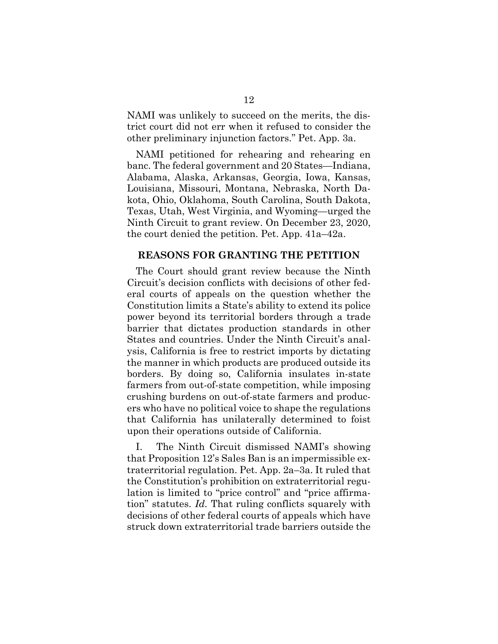NAMI was unlikely to succeed on the merits, the district court did not err when it refused to consider the other preliminary injunction factors." Pet. App. 3a.

NAMI petitioned for rehearing and rehearing en banc. The federal government and 20 States—Indiana, Alabama, Alaska, Arkansas, Georgia, Iowa, Kansas, Louisiana, Missouri, Montana, Nebraska, North Dakota, Ohio, Oklahoma, South Carolina, South Dakota, Texas, Utah, West Virginia, and Wyoming—urged the Ninth Circuit to grant review. On December 23, 2020, the court denied the petition. Pet. App. 41a–42a.

#### **REASONS FOR GRANTING THE PETITION**

The Court should grant review because the Ninth Circuit's decision conflicts with decisions of other federal courts of appeals on the question whether the Constitution limits a State's ability to extend its police power beyond its territorial borders through a trade barrier that dictates production standards in other States and countries. Under the Ninth Circuit's analysis, California is free to restrict imports by dictating the manner in which products are produced outside its borders. By doing so, California insulates in-state farmers from out-of-state competition, while imposing crushing burdens on out-of-state farmers and producers who have no political voice to shape the regulations that California has unilaterally determined to foist upon their operations outside of California.

I. The Ninth Circuit dismissed NAMI's showing that Proposition 12's Sales Ban is an impermissible extraterritorial regulation. Pet. App. 2a–3a. It ruled that the Constitution's prohibition on extraterritorial regulation is limited to "price control" and "price affirmation" statutes. *Id.* That ruling conflicts squarely with decisions of other federal courts of appeals which have struck down extraterritorial trade barriers outside the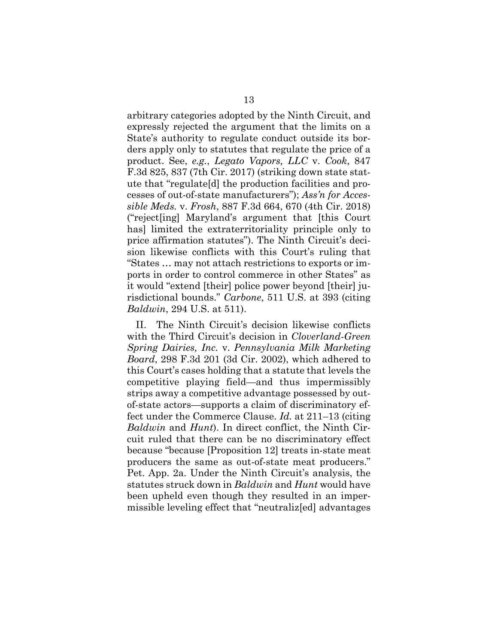arbitrary categories adopted by the Ninth Circuit, and expressly rejected the argument that the limits on a State's authority to regulate conduct outside its borders apply only to statutes that regulate the price of a product. See, *e.g.*, *Legato Vapors, LLC* v. *Cook*, 847 F.3d 825, 837 (7th Cir. 2017) (striking down state statute that "regulate[d] the production facilities and processes of out-of-state manufacturers"); *Ass'n for Accessible Meds.* v. *Frosh*, 887 F.3d 664, 670 (4th Cir. 2018) ("reject[ing] Maryland's argument that [this Court has] limited the extraterritoriality principle only to price affirmation statutes"). The Ninth Circuit's decision likewise conflicts with this Court's ruling that "States … may not attach restrictions to exports or imports in order to control commerce in other States" as it would "extend [their] police power beyond [their] jurisdictional bounds." *Carbone*, 511 U.S. at 393 (citing *Baldwin*, 294 U.S. at 511).

II. The Ninth Circuit's decision likewise conflicts with the Third Circuit's decision in *Cloverland-Green Spring Dairies, Inc.* v. *Pennsylvania Milk Marketing Board*, 298 F.3d 201 (3d Cir. 2002), which adhered to this Court's cases holding that a statute that levels the competitive playing field—and thus impermissibly strips away a competitive advantage possessed by outof-state actors—supports a claim of discriminatory effect under the Commerce Clause. *Id.* at 211–13 (citing *Baldwin* and *Hunt*). In direct conflict, the Ninth Circuit ruled that there can be no discriminatory effect because "because [Proposition 12] treats in-state meat producers the same as out-of-state meat producers." Pet. App. 2a. Under the Ninth Circuit's analysis, the statutes struck down in *Baldwin* and *Hunt* would have been upheld even though they resulted in an impermissible leveling effect that "neutraliz[ed] advantages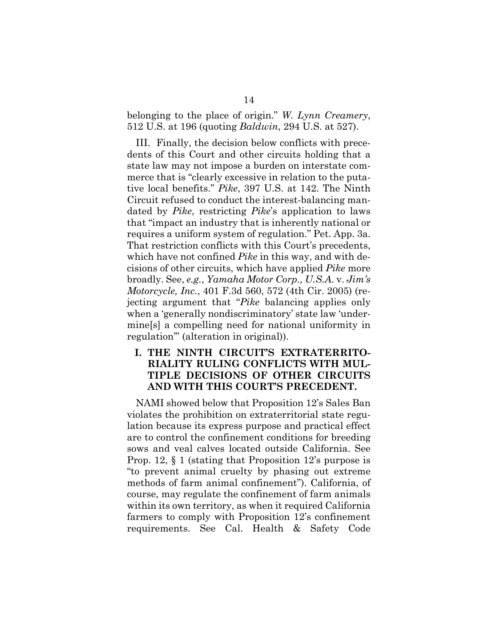belonging to the place of origin." *W. Lynn Creamery*, 512 U.S. at 196 (quoting *Baldwin*, 294 U.S. at 527).

III. Finally, the decision below conflicts with precedents of this Court and other circuits holding that a state law may not impose a burden on interstate commerce that is "clearly excessive in relation to the putative local benefits." *Pike*, 397 U.S. at 142. The Ninth Circuit refused to conduct the interest-balancing mandated by *Pike*, restricting *Pike*'s application to laws that "impact an industry that is inherently national or requires a uniform system of regulation." Pet. App. 3a. That restriction conflicts with this Court's precedents, which have not confined *Pike* in this way, and with decisions of other circuits, which have applied *Pike* more broadly. See, *e.g.*, *Yamaha Motor Corp., U.S.A.* v. *Jim's Motorcycle, Inc.*, 401 F.3d 560, 572 (4th Cir. 2005) (rejecting argument that "*Pike* balancing applies only when a 'generally nondiscriminatory' state law 'undermine[s] a compelling need for national uniformity in regulation'" (alteration in original)).

## **I. THE NINTH CIRCUIT'S EXTRATERRITO-RIALITY RULING CONFLICTS WITH MUL-TIPLE DECISIONS OF OTHER CIRCUITS AND WITH THIS COURT'S PRECEDENT.**

NAMI showed below that Proposition 12's Sales Ban violates the prohibition on extraterritorial state regulation because its express purpose and practical effect are to control the confinement conditions for breeding sows and veal calves located outside California. See Prop. 12, § 1 (stating that Proposition 12's purpose is "to prevent animal cruelty by phasing out extreme methods of farm animal confinement"). California, of course, may regulate the confinement of farm animals within its own territory, as when it required California farmers to comply with Proposition 12's confinement requirements. See Cal. Health & Safety Code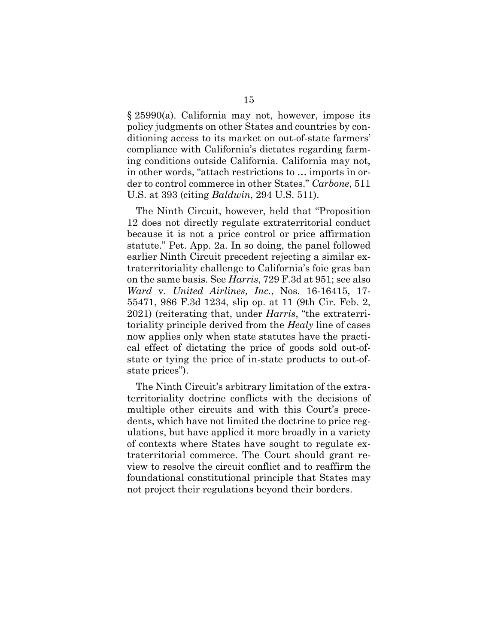§ 25990(a). California may not, however, impose its policy judgments on other States and countries by conditioning access to its market on out-of-state farmers' compliance with California's dictates regarding farming conditions outside California. California may not, in other words, "attach restrictions to … imports in order to control commerce in other States." *Carbone*, 511 U.S. at 393 (citing *Baldwin*, 294 U.S. 511).

The Ninth Circuit, however, held that "Proposition 12 does not directly regulate extraterritorial conduct because it is not a price control or price affirmation statute." Pet. App. 2a. In so doing, the panel followed earlier Ninth Circuit precedent rejecting a similar extraterritoriality challenge to California's foie gras ban on the same basis. See *Harris*, 729 F.3d at 951; see also *Ward* v. *United Airlines, Inc.*, Nos. 16-16415, 17- 55471, 986 F.3d 1234, slip op. at 11 (9th Cir. Feb. 2, 2021) (reiterating that, under *Harris*, "the extraterritoriality principle derived from the *Healy* line of cases now applies only when state statutes have the practical effect of dictating the price of goods sold out-ofstate or tying the price of in-state products to out-ofstate prices").

The Ninth Circuit's arbitrary limitation of the extraterritoriality doctrine conflicts with the decisions of multiple other circuits and with this Court's precedents, which have not limited the doctrine to price regulations, but have applied it more broadly in a variety of contexts where States have sought to regulate extraterritorial commerce. The Court should grant review to resolve the circuit conflict and to reaffirm the foundational constitutional principle that States may not project their regulations beyond their borders.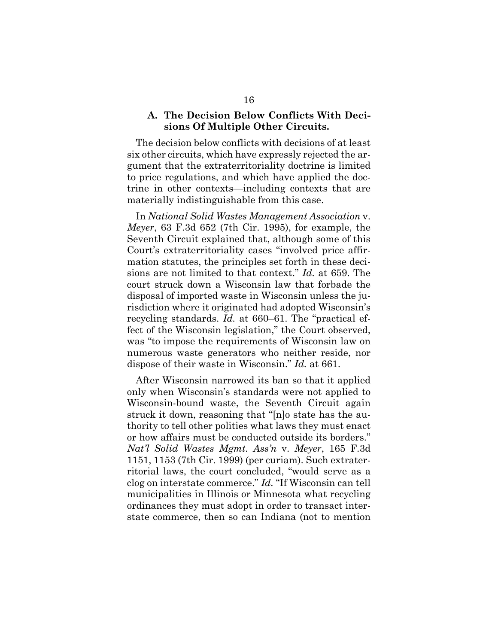#### **A. The Decision Below Conflicts With Decisions Of Multiple Other Circuits.**

The decision below conflicts with decisions of at least six other circuits, which have expressly rejected the argument that the extraterritoriality doctrine is limited to price regulations, and which have applied the doctrine in other contexts—including contexts that are materially indistinguishable from this case.

In *National Solid Wastes Management Association* v. *Meyer*, 63 F.3d 652 (7th Cir. 1995), for example, the Seventh Circuit explained that, although some of this Court's extraterritoriality cases "involved price affirmation statutes, the principles set forth in these decisions are not limited to that context." *Id.* at 659. The court struck down a Wisconsin law that forbade the disposal of imported waste in Wisconsin unless the jurisdiction where it originated had adopted Wisconsin's recycling standards. *Id.* at 660–61. The "practical effect of the Wisconsin legislation," the Court observed, was "to impose the requirements of Wisconsin law on numerous waste generators who neither reside, nor dispose of their waste in Wisconsin." *Id.* at 661.

After Wisconsin narrowed its ban so that it applied only when Wisconsin's standards were not applied to Wisconsin-bound waste, the Seventh Circuit again struck it down, reasoning that "[n]o state has the authority to tell other polities what laws they must enact or how affairs must be conducted outside its borders." *Nat'l Solid Wastes Mgmt. Ass'n* v. *Meyer*, 165 F.3d 1151, 1153 (7th Cir. 1999) (per curiam). Such extraterritorial laws, the court concluded, "would serve as a clog on interstate commerce." *Id.* "If Wisconsin can tell municipalities in Illinois or Minnesota what recycling ordinances they must adopt in order to transact interstate commerce, then so can Indiana (not to mention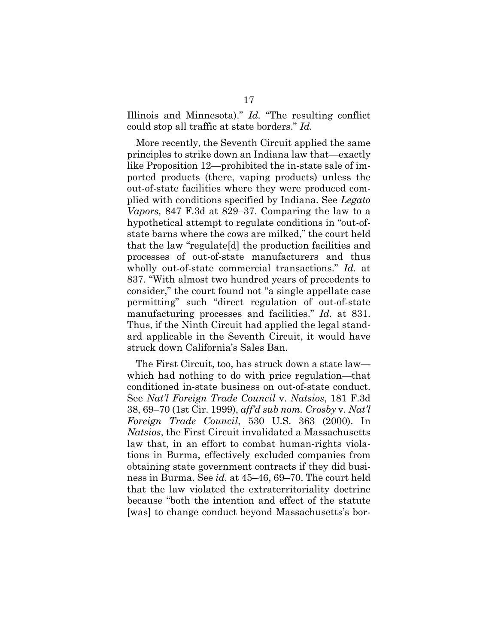Illinois and Minnesota)." *Id.* "The resulting conflict could stop all traffic at state borders." *Id.*

More recently, the Seventh Circuit applied the same principles to strike down an Indiana law that—exactly like Proposition 12—prohibited the in-state sale of imported products (there, vaping products) unless the out-of-state facilities where they were produced complied with conditions specified by Indiana. See *Legato Vapors,* 847 F.3d at 829–37. Comparing the law to a hypothetical attempt to regulate conditions in "out-ofstate barns where the cows are milked," the court held that the law "regulate[d] the production facilities and processes of out-of-state manufacturers and thus wholly out-of-state commercial transactions." *Id.* at 837. "With almost two hundred years of precedents to consider," the court found not "a single appellate case permitting" such "direct regulation of out-of-state manufacturing processes and facilities." *Id.* at 831. Thus, if the Ninth Circuit had applied the legal standard applicable in the Seventh Circuit, it would have struck down California's Sales Ban.

The First Circuit, too, has struck down a state law which had nothing to do with price regulation—that conditioned in-state business on out-of-state conduct. See *Nat'l Foreign Trade Council* v. *Natsios*, 181 F.3d 38, 69–70 (1st Cir. 1999), *aff'd sub nom. Crosby* v. *Nat'l Foreign Trade Council*, 530 U.S. 363 (2000). In *Natsios*, the First Circuit invalidated a Massachusetts law that, in an effort to combat human-rights violations in Burma, effectively excluded companies from obtaining state government contracts if they did business in Burma. See *id.* at 45–46, 69–70. The court held that the law violated the extraterritoriality doctrine because "both the intention and effect of the statute [was] to change conduct beyond Massachusetts's bor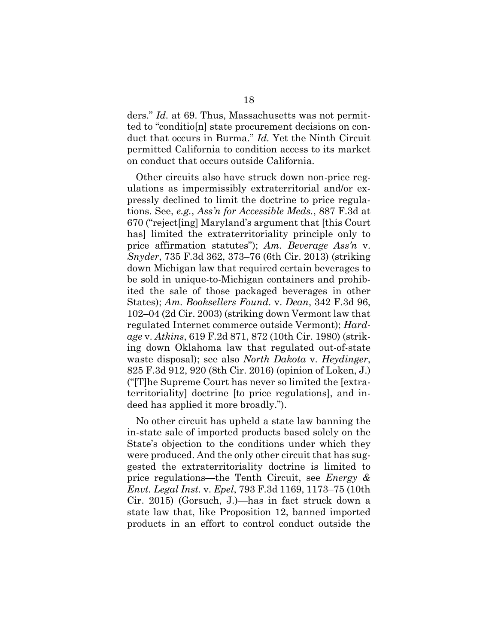ders." *Id.* at 69. Thus, Massachusetts was not permitted to "conditio[n] state procurement decisions on conduct that occurs in Burma." *Id.* Yet the Ninth Circuit permitted California to condition access to its market on conduct that occurs outside California.

Other circuits also have struck down non-price regulations as impermissibly extraterritorial and/or expressly declined to limit the doctrine to price regulations. See, *e.g.*, *Ass'n for Accessible Meds.*, 887 F.3d at 670 ("reject[ing] Maryland's argument that [this Court has] limited the extraterritoriality principle only to price affirmation statutes"); *Am. Beverage Ass'n* v. *Snyder*, 735 F.3d 362, 373–76 (6th Cir. 2013) (striking down Michigan law that required certain beverages to be sold in unique-to-Michigan containers and prohibited the sale of those packaged beverages in other States); *Am. Booksellers Found.* v. *Dean*, 342 F.3d 96, 102–04 (2d Cir. 2003) (striking down Vermont law that regulated Internet commerce outside Vermont); *Hardage* v. *Atkins*, 619 F.2d 871, 872 (10th Cir. 1980) (striking down Oklahoma law that regulated out-of-state waste disposal); see also *North Dakota* v. *Heydinger*, 825 F.3d 912, 920 (8th Cir. 2016) (opinion of Loken, J.) ("[T]he Supreme Court has never so limited the [extraterritoriality] doctrine [to price regulations], and indeed has applied it more broadly.").

No other circuit has upheld a state law banning the in-state sale of imported products based solely on the State's objection to the conditions under which they were produced. And the only other circuit that has suggested the extraterritoriality doctrine is limited to price regulations—the Tenth Circuit, see *Energy & Envt. Legal Inst.* v. *Epel*, 793 F.3d 1169, 1173–75 (10th Cir. 2015) (Gorsuch, J.)—has in fact struck down a state law that, like Proposition 12, banned imported products in an effort to control conduct outside the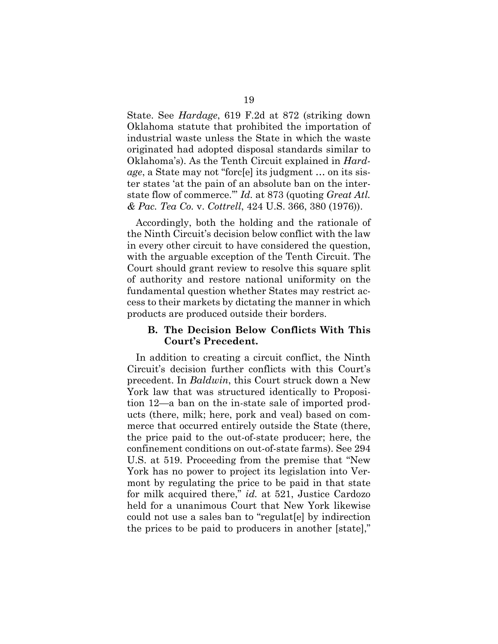State. See *Hardage*, 619 F.2d at 872 (striking down Oklahoma statute that prohibited the importation of industrial waste unless the State in which the waste originated had adopted disposal standards similar to Oklahoma's). As the Tenth Circuit explained in *Hardage*, a State may not "forc[e] its judgment … on its sister states 'at the pain of an absolute ban on the interstate flow of commerce.'" *Id.* at 873 (quoting *Great Atl. & Pac. Tea Co.* v. *Cottrell*, 424 U.S. 366, 380 (1976)).

Accordingly, both the holding and the rationale of the Ninth Circuit's decision below conflict with the law in every other circuit to have considered the question, with the arguable exception of the Tenth Circuit. The Court should grant review to resolve this square split of authority and restore national uniformity on the fundamental question whether States may restrict access to their markets by dictating the manner in which products are produced outside their borders.

#### **B. The Decision Below Conflicts With This Court's Precedent.**

In addition to creating a circuit conflict, the Ninth Circuit's decision further conflicts with this Court's precedent. In *Baldwin*, this Court struck down a New York law that was structured identically to Proposition 12—a ban on the in-state sale of imported products (there, milk; here, pork and veal) based on commerce that occurred entirely outside the State (there, the price paid to the out-of-state producer; here, the confinement conditions on out-of-state farms). See 294 U.S. at 519. Proceeding from the premise that "New York has no power to project its legislation into Vermont by regulating the price to be paid in that state for milk acquired there," *id.* at 521, Justice Cardozo held for a unanimous Court that New York likewise could not use a sales ban to "regulat[e] by indirection the prices to be paid to producers in another [state],"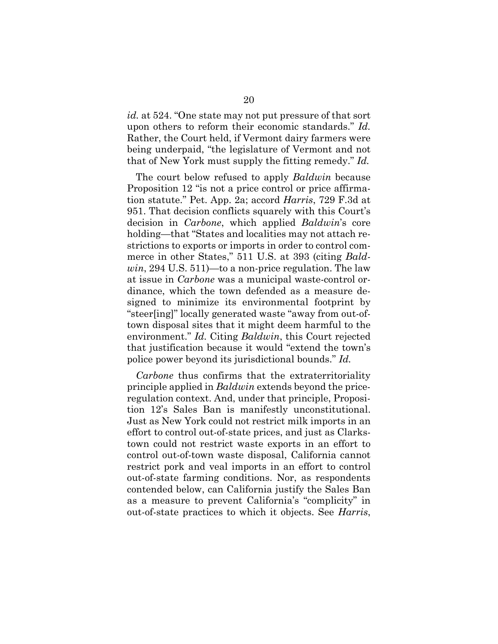*id.* at 524. "One state may not put pressure of that sort upon others to reform their economic standards." *Id.* Rather, the Court held, if Vermont dairy farmers were being underpaid, "the legislature of Vermont and not that of New York must supply the fitting remedy." *Id.* 

The court below refused to apply *Baldwin* because Proposition 12 "is not a price control or price affirmation statute." Pet. App. 2a; accord *Harris*, 729 F.3d at 951. That decision conflicts squarely with this Court's decision in *Carbone*, which applied *Baldwin*'s core holding—that "States and localities may not attach restrictions to exports or imports in order to control commerce in other States," 511 U.S. at 393 (citing *Baldwin*, 294 U.S. 511)—to a non-price regulation. The law at issue in *Carbone* was a municipal waste-control ordinance, which the town defended as a measure designed to minimize its environmental footprint by "steer[ing]" locally generated waste "away from out-oftown disposal sites that it might deem harmful to the environment." *Id.* Citing *Baldwin*, this Court rejected that justification because it would "extend the town's police power beyond its jurisdictional bounds." *Id.*

*Carbone* thus confirms that the extraterritoriality principle applied in *Baldwin* extends beyond the priceregulation context. And, under that principle, Proposition 12's Sales Ban is manifestly unconstitutional. Just as New York could not restrict milk imports in an effort to control out-of-state prices, and just as Clarkstown could not restrict waste exports in an effort to control out-of-town waste disposal, California cannot restrict pork and veal imports in an effort to control out-of-state farming conditions. Nor, as respondents contended below, can California justify the Sales Ban as a measure to prevent California's "complicity" in out-of-state practices to which it objects. See *Harris*,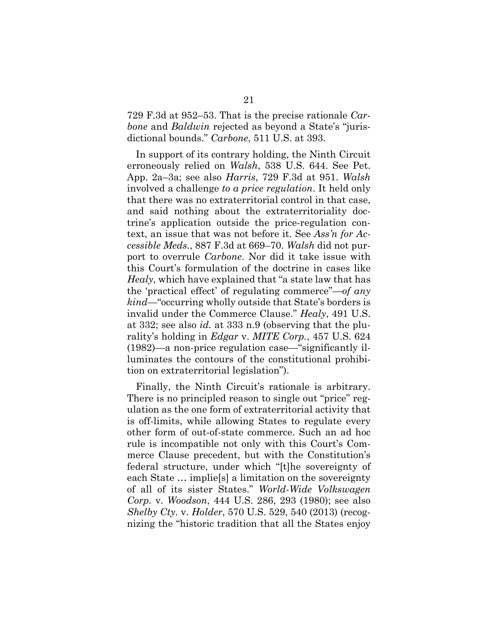729 F.3d at 952–53. That is the precise rationale *Carbone* and *Baldwin* rejected as beyond a State's "jurisdictional bounds." *Carbone*, 511 U.S. at 393.

In support of its contrary holding, the Ninth Circuit erroneously relied on *Walsh*, 538 U.S. 644. See Pet. App. 2a–3a; see also *Harris*, 729 F.3d at 951. *Walsh* involved a challenge *to a price regulation*. It held only that there was no extraterritorial control in that case, and said nothing about the extraterritoriality doctrine's application outside the price-regulation context, an issue that was not before it. See *Ass'n for Accessible Meds.*, 887 F.3d at 669–70. *Walsh* did not purport to overrule *Carbone*. Nor did it take issue with this Court's formulation of the doctrine in cases like *Healy*, which have explained that "a state law that has the 'practical effect' of regulating commerce"—*of any kind*—"occurring wholly outside that State's borders is invalid under the Commerce Clause." *Healy*, 491 U.S. at 332; see also *id.* at 333 n.9 (observing that the plurality's holding in *Edgar* v. *MITE Corp.*, 457 U.S. 624 (1982)—a non-price regulation case—"significantly illuminates the contours of the constitutional prohibition on extraterritorial legislation").

Finally, the Ninth Circuit's rationale is arbitrary. There is no principled reason to single out "price" regulation as the one form of extraterritorial activity that is off-limits, while allowing States to regulate every other form of out-of-state commerce. Such an ad hoc rule is incompatible not only with this Court's Commerce Clause precedent, but with the Constitution's federal structure, under which "[t]he sovereignty of each State … implie[s] a limitation on the sovereignty of all of its sister States." *World-Wide Volkswagen Corp.* v. *Woodson*, 444 U.S. 286, 293 (1980); see also *Shelby Cty.* v. *Holder*, 570 U.S. 529, 540 (2013) (recognizing the "historic tradition that all the States enjoy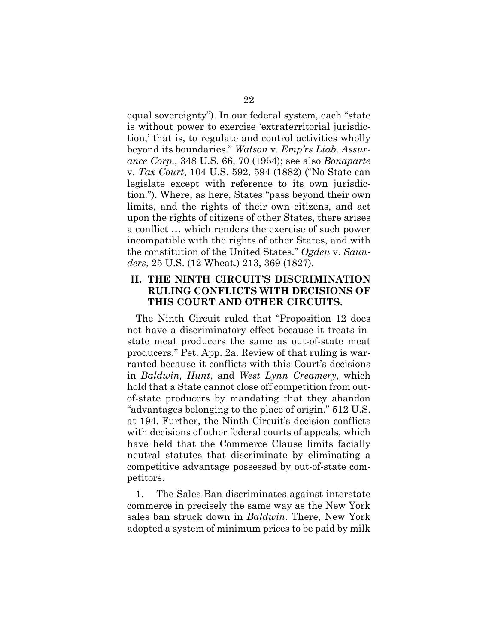equal sovereignty"). In our federal system, each "state is without power to exercise 'extraterritorial jurisdiction,' that is, to regulate and control activities wholly beyond its boundaries." *Watson* v. *Emp'rs Liab. Assurance Corp.*, 348 U.S. 66, 70 (1954); see also *Bonaparte* v. *Tax Court*, 104 U.S. 592, 594 (1882) ("No State can legislate except with reference to its own jurisdiction."). Where, as here, States "pass beyond their own limits, and the rights of their own citizens, and act upon the rights of citizens of other States, there arises a conflict … which renders the exercise of such power incompatible with the rights of other States, and with the constitution of the United States." *Ogden* v. *Saunders*, 25 U.S. (12 Wheat.) 213, 369 (1827).

## **II. THE NINTH CIRCUIT'S DISCRIMINATION RULING CONFLICTS WITH DECISIONS OF THIS COURT AND OTHER CIRCUITS.**

The Ninth Circuit ruled that "Proposition 12 does not have a discriminatory effect because it treats instate meat producers the same as out-of-state meat producers." Pet. App. 2a. Review of that ruling is warranted because it conflicts with this Court's decisions in *Baldwin, Hunt*, and *West Lynn Creamery*, which hold that a State cannot close off competition from outof-state producers by mandating that they abandon "advantages belonging to the place of origin." 512 U.S. at 194. Further, the Ninth Circuit's decision conflicts with decisions of other federal courts of appeals, which have held that the Commerce Clause limits facially neutral statutes that discriminate by eliminating a competitive advantage possessed by out-of-state competitors.

1. The Sales Ban discriminates against interstate commerce in precisely the same way as the New York sales ban struck down in *Baldwin*. There, New York adopted a system of minimum prices to be paid by milk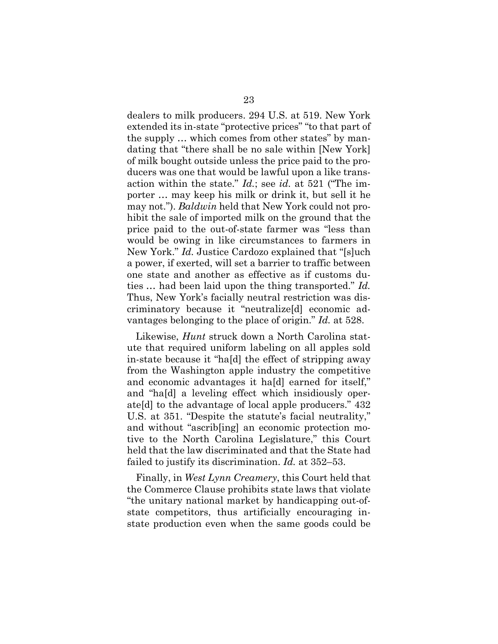dealers to milk producers. 294 U.S. at 519. New York extended its in-state "protective prices" "to that part of the supply … which comes from other states" by mandating that "there shall be no sale within [New York] of milk bought outside unless the price paid to the producers was one that would be lawful upon a like transaction within the state." *Id.*; see *id.* at 521 ("The importer … may keep his milk or drink it, but sell it he may not."). *Baldwin* held that New York could not prohibit the sale of imported milk on the ground that the price paid to the out-of-state farmer was "less than would be owing in like circumstances to farmers in New York." *Id.* Justice Cardozo explained that "[s]uch a power, if exerted, will set a barrier to traffic between one state and another as effective as if customs duties … had been laid upon the thing transported." *Id.* Thus, New York's facially neutral restriction was discriminatory because it "neutralize[d] economic advantages belonging to the place of origin." *Id.* at 528.

Likewise, *Hunt* struck down a North Carolina statute that required uniform labeling on all apples sold in-state because it "ha[d] the effect of stripping away from the Washington apple industry the competitive and economic advantages it ha[d] earned for itself," and "ha[d] a leveling effect which insidiously operate[d] to the advantage of local apple producers." 432 U.S. at 351. "Despite the statute's facial neutrality," and without "ascrib[ing] an economic protection motive to the North Carolina Legislature," this Court held that the law discriminated and that the State had failed to justify its discrimination. *Id.* at 352–53.

Finally, in *West Lynn Creamery*, this Court held that the Commerce Clause prohibits state laws that violate "the unitary national market by handicapping out-ofstate competitors, thus artificially encouraging instate production even when the same goods could be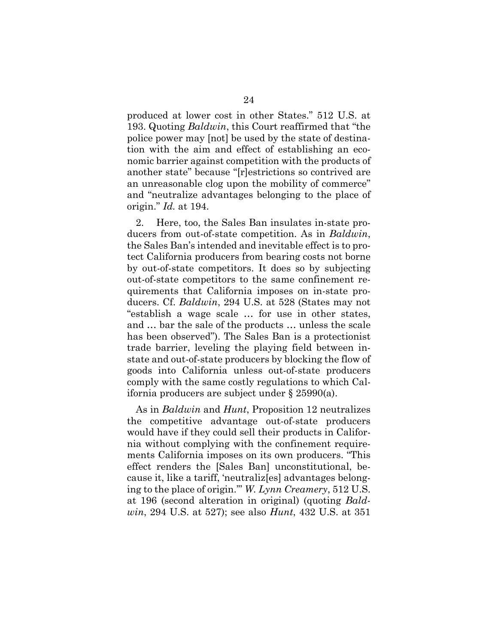produced at lower cost in other States." 512 U.S. at 193. Quoting *Baldwin*, this Court reaffirmed that "the police power may [not] be used by the state of destination with the aim and effect of establishing an economic barrier against competition with the products of another state" because "[r]estrictions so contrived are an unreasonable clog upon the mobility of commerce" and "neutralize advantages belonging to the place of origin." *Id.* at 194.

2. Here, too, the Sales Ban insulates in-state producers from out-of-state competition. As in *Baldwin*, the Sales Ban's intended and inevitable effect is to protect California producers from bearing costs not borne by out-of-state competitors. It does so by subjecting out-of-state competitors to the same confinement requirements that California imposes on in-state producers. Cf. *Baldwin*, 294 U.S. at 528 (States may not "establish a wage scale … for use in other states, and … bar the sale of the products … unless the scale has been observed"). The Sales Ban is a protectionist trade barrier, leveling the playing field between instate and out-of-state producers by blocking the flow of goods into California unless out-of-state producers comply with the same costly regulations to which California producers are subject under § 25990(a).

As in *Baldwin* and *Hunt*, Proposition 12 neutralizes the competitive advantage out-of-state producers would have if they could sell their products in California without complying with the confinement requirements California imposes on its own producers. "This effect renders the [Sales Ban] unconstitutional, because it, like a tariff, 'neutraliz[es] advantages belonging to the place of origin.'" *W. Lynn Creamery*, 512 U.S. at 196 (second alteration in original) (quoting *Baldwin*, 294 U.S. at 527); see also *Hunt*, 432 U.S. at 351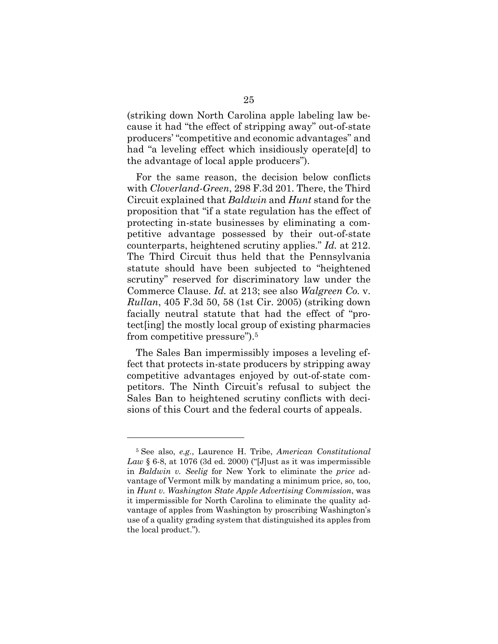(striking down North Carolina apple labeling law because it had "the effect of stripping away" out-of-state producers' "competitive and economic advantages" and had "a leveling effect which insidiously operate[d] to the advantage of local apple producers").

For the same reason, the decision below conflicts with *Cloverland-Green*, 298 F.3d 201. There, the Third Circuit explained that *Baldwin* and *Hunt* stand for the proposition that "if a state regulation has the effect of protecting in-state businesses by eliminating a competitive advantage possessed by their out-of-state counterparts, heightened scrutiny applies." *Id.* at 212. The Third Circuit thus held that the Pennsylvania statute should have been subjected to "heightened scrutiny" reserved for discriminatory law under the Commerce Clause. *Id.* at 213; see also *Walgreen Co.* v. *Rullan*, 405 F.3d 50, 58 (1st Cir. 2005) (striking down facially neutral statute that had the effect of "protect[ing] the mostly local group of existing pharmacies from competitive pressure").5

The Sales Ban impermissibly imposes a leveling effect that protects in-state producers by stripping away competitive advantages enjoyed by out-of-state competitors. The Ninth Circuit's refusal to subject the Sales Ban to heightened scrutiny conflicts with decisions of this Court and the federal courts of appeals.

<sup>5</sup> See also, *e.g.*, Laurence H. Tribe, *American Constitutional Law* § 6-8, at 1076 (3d ed. 2000) ("[J]ust as it was impermissible in *Baldwin v. Seelig* for New York to eliminate the *price* advantage of Vermont milk by mandating a minimum price, so, too, in *Hunt v. Washington State Apple Advertising Commission*, was it impermissible for North Carolina to eliminate the quality advantage of apples from Washington by proscribing Washington's use of a quality grading system that distinguished its apples from the local product.").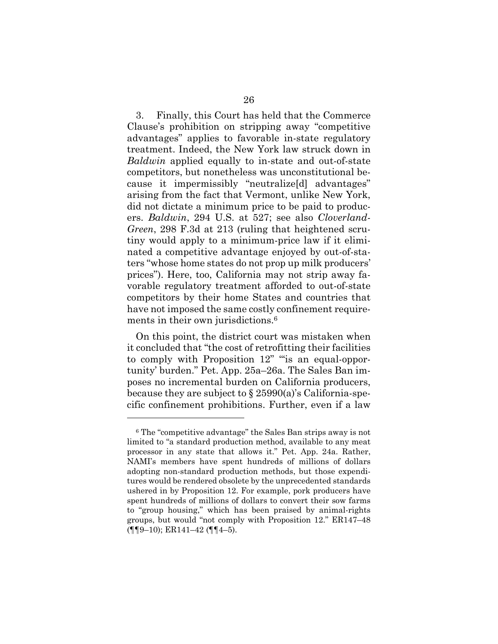3. Finally, this Court has held that the Commerce Clause's prohibition on stripping away "competitive advantages" applies to favorable in-state regulatory treatment. Indeed, the New York law struck down in *Baldwin* applied equally to in-state and out-of-state competitors, but nonetheless was unconstitutional because it impermissibly "neutralize[d] advantages" arising from the fact that Vermont, unlike New York, did not dictate a minimum price to be paid to producers. *Baldwin*, 294 U.S. at 527; see also *Cloverland-Green*, 298 F.3d at 213 (ruling that heightened scrutiny would apply to a minimum-price law if it eliminated a competitive advantage enjoyed by out-of-staters "whose home states do not prop up milk producers' prices"). Here, too, California may not strip away favorable regulatory treatment afforded to out-of-state competitors by their home States and countries that have not imposed the same costly confinement requirements in their own jurisdictions.<sup>6</sup>

On this point, the district court was mistaken when it concluded that "the cost of retrofitting their facilities to comply with Proposition 12" "is an equal-opportunity' burden." Pet. App. 25a–26a. The Sales Ban imposes no incremental burden on California producers, because they are subject to  $\S 25990(a)$ 's California-specific confinement prohibitions. Further, even if a law

<sup>6</sup> The "competitive advantage" the Sales Ban strips away is not limited to "a standard production method, available to any meat processor in any state that allows it." Pet. App. 24a. Rather, NAMI's members have spent hundreds of millions of dollars adopting non-standard production methods, but those expenditures would be rendered obsolete by the unprecedented standards ushered in by Proposition 12. For example, pork producers have spent hundreds of millions of dollars to convert their sow farms to "group housing," which has been praised by animal-rights groups, but would "not comply with Proposition 12." ER147–48 (¶¶9–10); ER141–42 (¶¶4–5).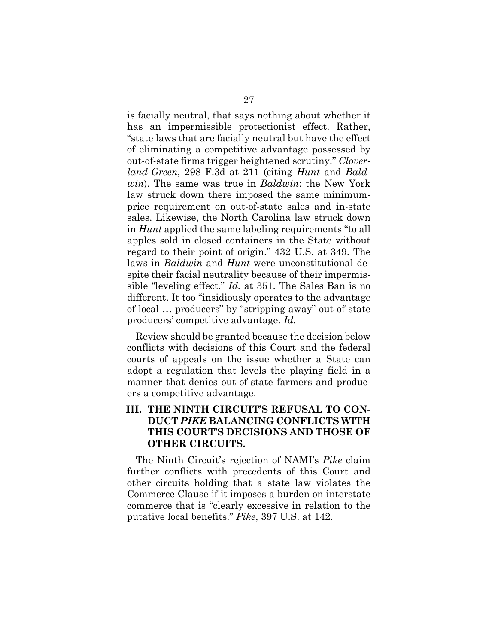is facially neutral, that says nothing about whether it has an impermissible protectionist effect. Rather, "state laws that are facially neutral but have the effect of eliminating a competitive advantage possessed by out-of-state firms trigger heightened scrutiny." *Cloverland-Green*, 298 F.3d at 211 (citing *Hunt* and *Baldwin*). The same was true in *Baldwin*: the New York law struck down there imposed the same minimumprice requirement on out-of-state sales and in-state sales. Likewise, the North Carolina law struck down in *Hunt* applied the same labeling requirements "to all apples sold in closed containers in the State without regard to their point of origin." 432 U.S. at 349. The laws in *Baldwin* and *Hunt* were unconstitutional despite their facial neutrality because of their impermissible "leveling effect." *Id.* at 351. The Sales Ban is no different. It too "insidiously operates to the advantage of local … producers" by "stripping away" out-of-state producers' competitive advantage. *Id.*

Review should be granted because the decision below conflicts with decisions of this Court and the federal courts of appeals on the issue whether a State can adopt a regulation that levels the playing field in a manner that denies out-of-state farmers and producers a competitive advantage.

## **III. THE NINTH CIRCUIT'S REFUSAL TO CON-DUCT** *PIKE* **BALANCING CONFLICTS WITH THIS COURT'S DECISIONS AND THOSE OF OTHER CIRCUITS.**

The Ninth Circuit's rejection of NAMI's *Pike* claim further conflicts with precedents of this Court and other circuits holding that a state law violates the Commerce Clause if it imposes a burden on interstate commerce that is "clearly excessive in relation to the putative local benefits." *Pike*, 397 U.S. at 142.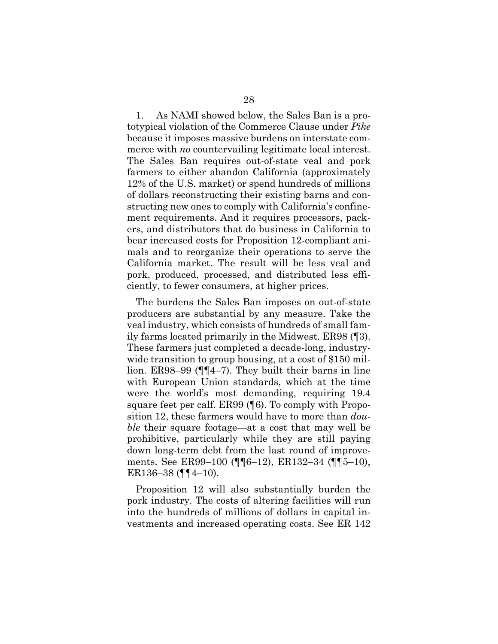1. As NAMI showed below, the Sales Ban is a prototypical violation of the Commerce Clause under *Pike* because it imposes massive burdens on interstate commerce with *no* countervailing legitimate local interest. The Sales Ban requires out-of-state veal and pork farmers to either abandon California (approximately 12% of the U.S. market) or spend hundreds of millions of dollars reconstructing their existing barns and constructing new ones to comply with California's confinement requirements. And it requires processors, packers, and distributors that do business in California to bear increased costs for Proposition 12-compliant animals and to reorganize their operations to serve the California market. The result will be less veal and pork, produced, processed, and distributed less efficiently, to fewer consumers, at higher prices.

The burdens the Sales Ban imposes on out-of-state producers are substantial by any measure. Take the veal industry, which consists of hundreds of small family farms located primarily in the Midwest. ER98 (¶3). These farmers just completed a decade-long, industrywide transition to group housing, at a cost of \$150 million. ER98–99 (¶¶4–7). They built their barns in line with European Union standards, which at the time were the world's most demanding, requiring 19.4 square feet per calf. ER99 (¶6). To comply with Proposition 12, these farmers would have to more than *double* their square footage—at a cost that may well be prohibitive, particularly while they are still paying down long-term debt from the last round of improvements. See ER99–100 (¶¶6–12), ER132–34 (¶¶5–10), ER136–38 ( $\P$  $\P$  $4$ –10).

Proposition 12 will also substantially burden the pork industry. The costs of altering facilities will run into the hundreds of millions of dollars in capital investments and increased operating costs. See ER 142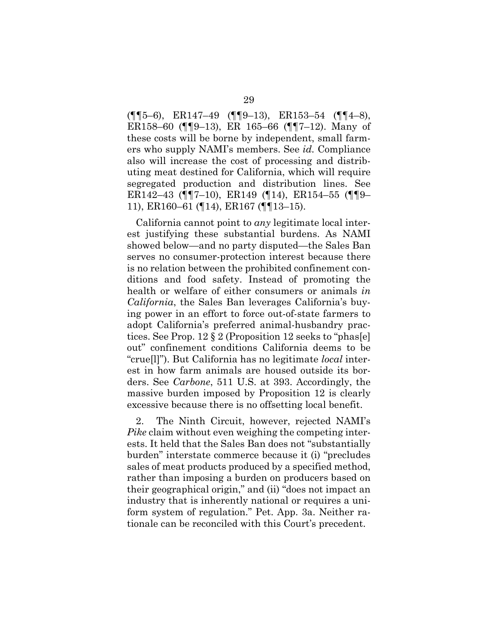(¶¶5–6), ER147–49 (¶¶9–13), ER153–54 (¶¶4–8), ER158–60 (¶¶9–13), ER 165–66 (¶¶7–12). Many of these costs will be borne by independent, small farmers who supply NAMI's members. See *id.* Compliance also will increase the cost of processing and distributing meat destined for California, which will require segregated production and distribution lines. See ER142–43 (¶¶7–10), ER149 (¶14), ER154–55 (¶¶9– 11), ER160–61 (¶14), ER167 (¶¶13–15).

California cannot point to *any* legitimate local interest justifying these substantial burdens. As NAMI showed below—and no party disputed—the Sales Ban serves no consumer-protection interest because there is no relation between the prohibited confinement conditions and food safety. Instead of promoting the health or welfare of either consumers or animals *in California*, the Sales Ban leverages California's buying power in an effort to force out-of-state farmers to adopt California's preferred animal-husbandry practices. See Prop. 12 § 2 (Proposition 12 seeks to "phas[e] out" confinement conditions California deems to be "crue[l]"). But California has no legitimate *local* interest in how farm animals are housed outside its borders. See *Carbone*, 511 U.S. at 393. Accordingly, the massive burden imposed by Proposition 12 is clearly excessive because there is no offsetting local benefit.

2. The Ninth Circuit, however, rejected NAMI's *Pike* claim without even weighing the competing interests. It held that the Sales Ban does not "substantially burden" interstate commerce because it (i) "precludes sales of meat products produced by a specified method, rather than imposing a burden on producers based on their geographical origin," and (ii) "does not impact an industry that is inherently national or requires a uniform system of regulation." Pet. App. 3a. Neither rationale can be reconciled with this Court's precedent.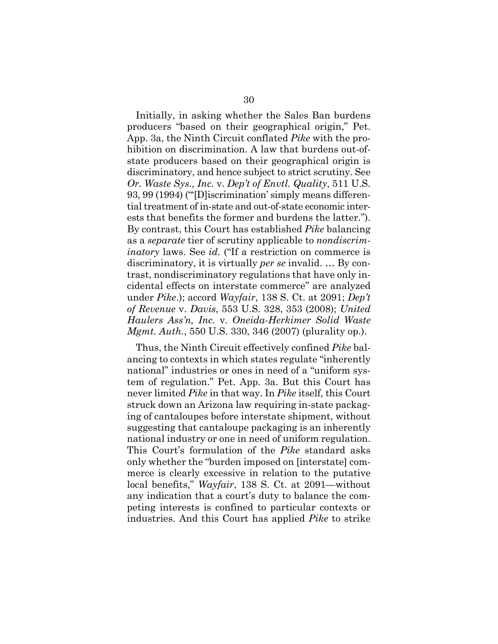Initially, in asking whether the Sales Ban burdens producers "based on their geographical origin," Pet. App. 3a, the Ninth Circuit conflated *Pike* with the prohibition on discrimination. A law that burdens out-ofstate producers based on their geographical origin is discriminatory, and hence subject to strict scrutiny. See *Or. Waste Sys., Inc.* v. *Dep't of Envtl. Quality*, 511 U.S. 93, 99 (1994) ("'[D]iscrimination' simply means differential treatment of in-state and out-of-state economic interests that benefits the former and burdens the latter."). By contrast, this Court has established *Pike* balancing as a *separate* tier of scrutiny applicable to *nondiscriminatory* laws. See *id.* ("If a restriction on commerce is discriminatory, it is virtually *per se* invalid. … By contrast, nondiscriminatory regulations that have only incidental effects on interstate commerce" are analyzed under *Pike*.); accord *Wayfair*, 138 S. Ct. at 2091; *Dep't of Revenue* v. *Davis*, 553 U.S. 328, 353 (2008); *United Haulers Ass'n, Inc.* v. *Oneida-Herkimer Solid Waste Mgmt. Auth.*, 550 U.S. 330, 346 (2007) (plurality op.).

Thus, the Ninth Circuit effectively confined *Pike* balancing to contexts in which states regulate "inherently national" industries or ones in need of a "uniform system of regulation." Pet. App. 3a. But this Court has never limited *Pike* in that way. In *Pike* itself, this Court struck down an Arizona law requiring in-state packaging of cantaloupes before interstate shipment, without suggesting that cantaloupe packaging is an inherently national industry or one in need of uniform regulation. This Court's formulation of the *Pike* standard asks only whether the "burden imposed on [interstate] commerce is clearly excessive in relation to the putative local benefits," *Wayfair*, 138 S. Ct. at 2091—without any indication that a court's duty to balance the competing interests is confined to particular contexts or industries. And this Court has applied *Pike* to strike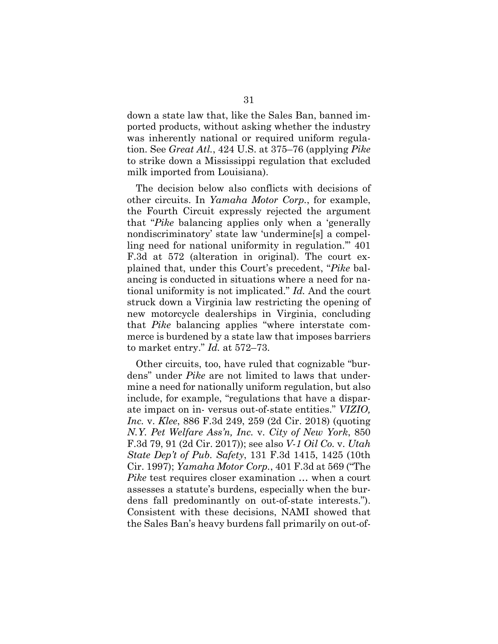down a state law that, like the Sales Ban, banned imported products, without asking whether the industry was inherently national or required uniform regulation. See *Great Atl.*, 424 U.S. at 375–76 (applying *Pike*  to strike down a Mississippi regulation that excluded milk imported from Louisiana).

The decision below also conflicts with decisions of other circuits. In *Yamaha Motor Corp.*, for example, the Fourth Circuit expressly rejected the argument that "*Pike* balancing applies only when a 'generally nondiscriminatory' state law 'undermine[s] a compelling need for national uniformity in regulation.'" 401 F.3d at 572 (alteration in original). The court explained that, under this Court's precedent, "*Pike* balancing is conducted in situations where a need for national uniformity is not implicated." *Id.* And the court struck down a Virginia law restricting the opening of new motorcycle dealerships in Virginia, concluding that *Pike* balancing applies "where interstate commerce is burdened by a state law that imposes barriers to market entry." *Id.* at 572–73.

Other circuits, too, have ruled that cognizable "burdens" under *Pike* are not limited to laws that undermine a need for nationally uniform regulation, but also include, for example, "regulations that have a disparate impact on in- versus out-of-state entities." *VIZIO, Inc.* v. *Klee*, 886 F.3d 249, 259 (2d Cir. 2018) (quoting *N.Y. Pet Welfare Ass'n, Inc.* v. *City of New York*, 850 F.3d 79, 91 (2d Cir. 2017)); see also *V-1 Oil Co.* v. *Utah State Dep't of Pub. Safety*, 131 F.3d 1415, 1425 (10th Cir. 1997); *Yamaha Motor Corp.*, 401 F.3d at 569 ("The *Pike* test requires closer examination ... when a court assesses a statute's burdens, especially when the burdens fall predominantly on out-of-state interests."). Consistent with these decisions, NAMI showed that the Sales Ban's heavy burdens fall primarily on out-of